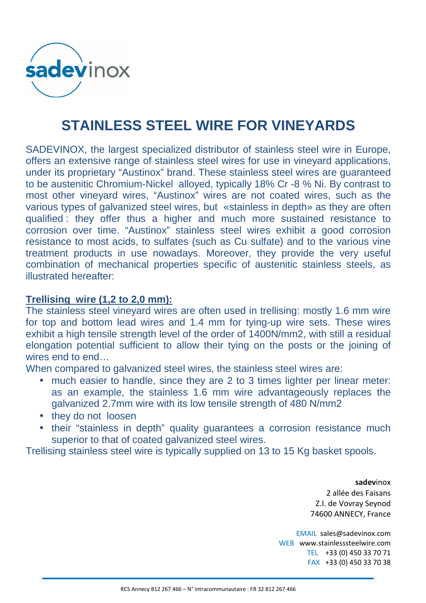

## **STAINLESS STEEL WIRE FOR VINEYARDS**

SADEVINOX, the largest specialized distributor of stainless steel wire in Europe, offers an extensive range of stainless steel wires for use in vineyard applications, under its proprietary "Austinox" brand. These stainless steel wires are guaranteed to be austenitic Chromium-Nickel alloyed, typically 18% Cr -8 % Ni. By contrast to most other vineyard wires, "Austinox" wires are not coated wires, such as the various types of galvanized steel wires, but «stainless in depth» as they are often qualified : they offer thus a higher and much more sustained resistance to corrosion over time. "Austinox" stainless steel wires exhibit a good corrosion resistance to most acids, to sulfates (such as Cu sulfate) and to the various vine treatment products in use nowadays. Moreover, they provide the very useful combination of mechanical properties specific of austenitic stainless steels, as illustrated hereafter:

## **Trellising wire (1,2 to 2,0 mm):**

The stainless steel vineyard wires are often used in trellising: mostly 1.6 mm wire for top and bottom lead wires and 1.4 mm for tying-up wire sets. These wires exhibit a high tensile strength level of the order of 1400N/mm2, with still a residual elongation potential sufficient to allow their tying on the posts or the joining of wires end to end…

When compared to galvanized steel wires, the stainless steel wires are:

- much easier to handle, since they are 2 to 3 times lighter per linear meter: as an example, the stainless 1.6 mm wire advantageously replaces the galvanized 2.7mm wire with its low tensile strength of 480 N/mm2
- they do not loosen
- their "stainless in depth" quality guarantees a corrosion resistance much superior to that of coated galvanized steel wires.

Trellising stainless steel wire is typically supplied on 13 to 15 Kg basket spools.

**sadev**inox 2 allée des Faisans Z.I. de Vovray Seynod 74600 ANNECY, France

EMAIL sales@sadevinox.com WEB www.stainlesssteelwire.com TEL +33 (0) 450 33 70 71 FAX +33 (0) 450 33 70 38